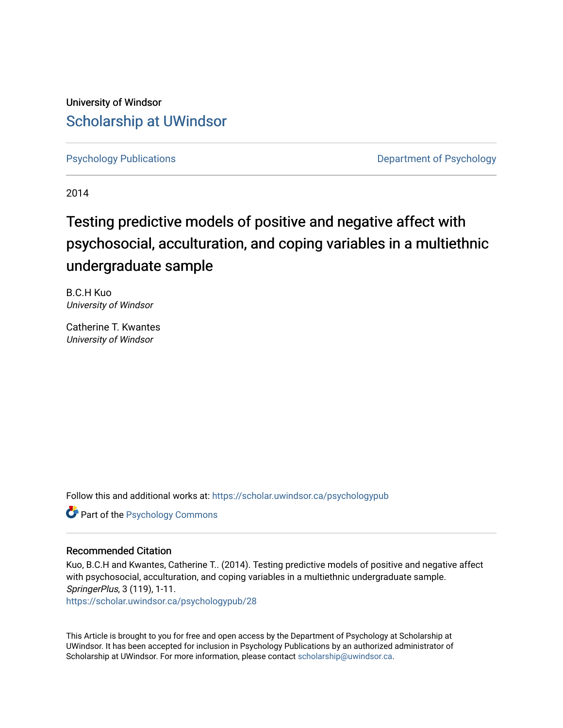University of Windsor [Scholarship at UWindsor](https://scholar.uwindsor.ca/) 

[Psychology Publications](https://scholar.uwindsor.ca/psychologypub) [Department of Psychology](https://scholar.uwindsor.ca/psychology) 

2014

# Testing predictive models of positive and negative affect with psychosocial, acculturation, and coping variables in a multiethnic undergraduate sample

B.C.H Kuo University of Windsor

Catherine T. Kwantes University of Windsor

Follow this and additional works at: [https://scholar.uwindsor.ca/psychologypub](https://scholar.uwindsor.ca/psychologypub?utm_source=scholar.uwindsor.ca%2Fpsychologypub%2F28&utm_medium=PDF&utm_campaign=PDFCoverPages) 

**Part of the Psychology Commons** 

# Recommended Citation

Kuo, B.C.H and Kwantes, Catherine T.. (2014). Testing predictive models of positive and negative affect with psychosocial, acculturation, and coping variables in a multiethnic undergraduate sample. SpringerPlus, 3 (119), 1-11. [https://scholar.uwindsor.ca/psychologypub/28](https://scholar.uwindsor.ca/psychologypub/28?utm_source=scholar.uwindsor.ca%2Fpsychologypub%2F28&utm_medium=PDF&utm_campaign=PDFCoverPages)

This Article is brought to you for free and open access by the Department of Psychology at Scholarship at UWindsor. It has been accepted for inclusion in Psychology Publications by an authorized administrator of Scholarship at UWindsor. For more information, please contact [scholarship@uwindsor.ca.](mailto:scholarship@uwindsor.ca)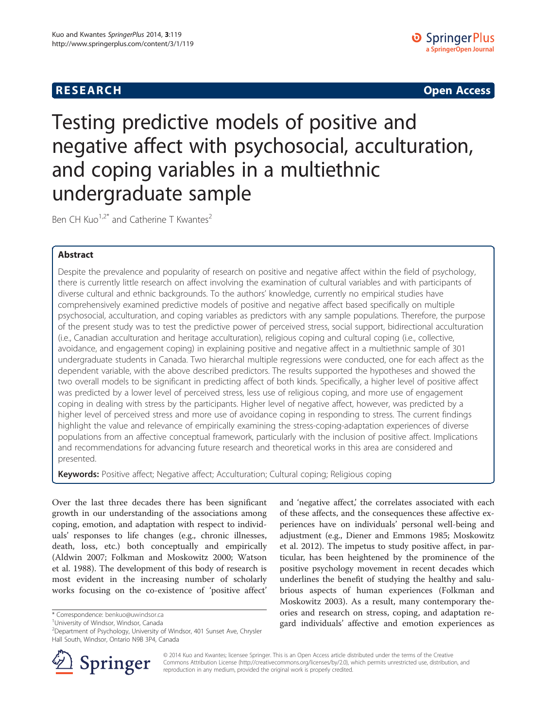**RESEARCH RESEARCH CONSUMING ACCESS** 

# Testing predictive models of positive and negative affect with psychosocial, acculturation, and coping variables in a multiethnic undergraduate sample

Ben CH Kuo<sup>1,2\*</sup> and Catherine T Kwantes<sup>2</sup>

# Abstract

Despite the prevalence and popularity of research on positive and negative affect within the field of psychology, there is currently little research on affect involving the examination of cultural variables and with participants of diverse cultural and ethnic backgrounds. To the authors' knowledge, currently no empirical studies have comprehensively examined predictive models of positive and negative affect based specifically on multiple psychosocial, acculturation, and coping variables as predictors with any sample populations. Therefore, the purpose of the present study was to test the predictive power of perceived stress, social support, bidirectional acculturation (i.e., Canadian acculturation and heritage acculturation), religious coping and cultural coping (i.e., collective, avoidance, and engagement coping) in explaining positive and negative affect in a multiethnic sample of 301 undergraduate students in Canada. Two hierarchal multiple regressions were conducted, one for each affect as the dependent variable, with the above described predictors. The results supported the hypotheses and showed the two overall models to be significant in predicting affect of both kinds. Specifically, a higher level of positive affect was predicted by a lower level of perceived stress, less use of religious coping, and more use of engagement coping in dealing with stress by the participants. Higher level of negative affect, however, was predicted by a higher level of perceived stress and more use of avoidance coping in responding to stress. The current findings highlight the value and relevance of empirically examining the stress-coping-adaptation experiences of diverse populations from an affective conceptual framework, particularly with the inclusion of positive affect. Implications and recommendations for advancing future research and theoretical works in this area are considered and presented.

Keywords: Positive affect; Negative affect; Acculturation; Cultural coping; Religious coping

Over the last three decades there has been significant growth in our understanding of the associations among coping, emotion, and adaptation with respect to individuals' responses to life changes (e.g., chronic illnesses, death, loss, etc.) both conceptually and empirically (Aldwin [2007](#page-10-0); Folkman and Moskowitz [2000](#page-10-0); Watson et al. [1988](#page-11-0)). The development of this body of research is most evident in the increasing number of scholarly works focusing on the co-existence of 'positive affect'

and 'negative affect,' the correlates associated with each of these affects, and the consequences these affective experiences have on individuals' personal well-being and adjustment (e.g., Diener and Emmons [1985;](#page-10-0) Moskowitz et al. [2012\)](#page-11-0). The impetus to study positive affect, in particular, has been heightened by the prominence of the positive psychology movement in recent decades which underlines the benefit of studying the healthy and salubrious aspects of human experiences (Folkman and Moskowitz [2003](#page-10-0)). As a result, many contemporary theories and research on stress, coping, and adaptation regard individuals' affective and emotion experiences as



© 2014 Kuo and Kwantes; licensee Springer. This is an Open Access article distributed under the terms of the Creative Commons Attribution License (<http://creativecommons.org/licenses/by/2.0>), which permits unrestricted use, distribution, and reproduction in any medium, provided the original work is properly credited.

<sup>\*</sup> Correspondence: [benkuo@uwindsor.ca](mailto:benkuo@uwindsor.ca) <sup>1</sup>

University of Windsor, Windsor, Canada

<sup>&</sup>lt;sup>2</sup>Department of Psychology, University of Windsor, 401 Sunset Ave, Chrysler Hall South, Windsor, Ontario N9B 3P4, Canada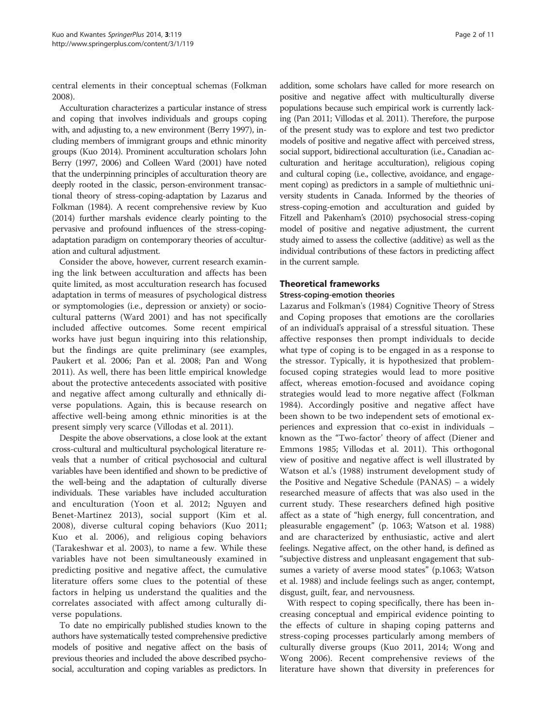<span id="page-2-0"></span>central elements in their conceptual schemas (Folkman [2008](#page-10-0)).

Acculturation characterizes a particular instance of stress and coping that involves individuals and groups coping with, and adjusting to, a new environment (Berry [1997\)](#page-10-0), including members of immigrant groups and ethnic minority groups (Kuo [2014\)](#page-10-0). Prominent acculturation scholars John Berry [\(1997, 2006](#page-10-0)) and Colleen Ward ([2001](#page-11-0)) have noted that the underpinning principles of acculturation theory are deeply rooted in the classic, person-environment transactional theory of stress-coping-adaptation by Lazarus and Folkman ([1984](#page-11-0)). A recent comprehensive review by Kuo ([2014\)](#page-10-0) further marshals evidence clearly pointing to the pervasive and profound influences of the stress-copingadaptation paradigm on contemporary theories of acculturation and cultural adjustment.

Consider the above, however, current research examining the link between acculturation and affects has been quite limited, as most acculturation research has focused adaptation in terms of measures of psychological distress or symptomologies (i.e., depression or anxiety) or sociocultural patterns (Ward [2001\)](#page-11-0) and has not specifically included affective outcomes. Some recent empirical works have just begun inquiring into this relationship, but the findings are quite preliminary (see examples, Paukert et al. [2006;](#page-11-0) Pan et al. [2008](#page-11-0); Pan and Wong [2011](#page-11-0)). As well, there has been little empirical knowledge about the protective antecedents associated with positive and negative affect among culturally and ethnically diverse populations. Again, this is because research on affective well-being among ethnic minorities is at the present simply very scarce (Villodas et al. [2011\)](#page-11-0).

Despite the above observations, a close look at the extant cross-cultural and multicultural psychological literature reveals that a number of critical psychosocial and cultural variables have been identified and shown to be predictive of the well-being and the adaptation of culturally diverse individuals. These variables have included acculturation and enculturation (Yoon et al. [2012;](#page-11-0) Nguyen and Benet-Martinez [2013\)](#page-11-0), social support (Kim et al. [2008\)](#page-10-0), diverse cultural coping behaviors (Kuo [2011](#page-10-0); Kuo et al. [2006](#page-11-0)), and religious coping behaviors (Tarakeshwar et al. [2003\)](#page-11-0), to name a few. While these variables have not been simultaneously examined in predicting positive and negative affect, the cumulative literature offers some clues to the potential of these factors in helping us understand the qualities and the correlates associated with affect among culturally diverse populations.

To date no empirically published studies known to the authors have systematically tested comprehensive predictive models of positive and negative affect on the basis of previous theories and included the above described psychosocial, acculturation and coping variables as predictors. In

addition, some scholars have called for more research on positive and negative affect with multiculturally diverse populations because such empirical work is currently lacking (Pan [2011;](#page-11-0) Villodas et al. [2011\)](#page-11-0). Therefore, the purpose of the present study was to explore and test two predictor models of positive and negative affect with perceived stress, social support, bidirectional acculturation (i.e., Canadian acculturation and heritage acculturation), religious coping and cultural coping (i.e., collective, avoidance, and engagement coping) as predictors in a sample of multiethnic university students in Canada. Informed by the theories of stress-coping-emotion and acculturation and guided by Fitzell and Pakenham's [\(2010](#page-10-0)) psychosocial stress-coping model of positive and negative adjustment, the current study aimed to assess the collective (additive) as well as the individual contributions of these factors in predicting affect in the current sample.

## Theoretical frameworks

#### Stress-coping-emotion theories

Lazarus and Folkman's ([1984](#page-11-0)) Cognitive Theory of Stress and Coping proposes that emotions are the corollaries of an individual's appraisal of a stressful situation. These affective responses then prompt individuals to decide what type of coping is to be engaged in as a response to the stressor. Typically, it is hypothesized that problemfocused coping strategies would lead to more positive affect, whereas emotion-focused and avoidance coping strategies would lead to more negative affect (Folkman [1984](#page-10-0)). Accordingly positive and negative affect have been shown to be two independent sets of emotional experiences and expression that co-exist in individuals – known as the "Two-factor' theory of affect (Diener and Emmons [1985](#page-10-0); Villodas et al. [2011\)](#page-11-0). This orthogonal view of positive and negative affect is well illustrated by Watson et al.'s [\(1988\)](#page-11-0) instrument development study of the Positive and Negative Schedule (PANAS) – a widely researched measure of affects that was also used in the current study. These researchers defined high positive affect as a state of "high energy, full concentration, and pleasurable engagement" (p. 1063; Watson et al. [1988](#page-11-0)) and are characterized by enthusiastic, active and alert feelings. Negative affect, on the other hand, is defined as "subjective distress and unpleasant engagement that subsumes a variety of averse mood states" (p.1063; Watson et al. [1988\)](#page-11-0) and include feelings such as anger, contempt, disgust, guilt, fear, and nervousness.

With respect to coping specifically, there has been increasing conceptual and empirical evidence pointing to the effects of culture in shaping coping patterns and stress-coping processes particularly among members of culturally diverse groups (Kuo [2011](#page-10-0), [2014](#page-10-0); Wong and Wong [2006\)](#page-11-0). Recent comprehensive reviews of the literature have shown that diversity in preferences for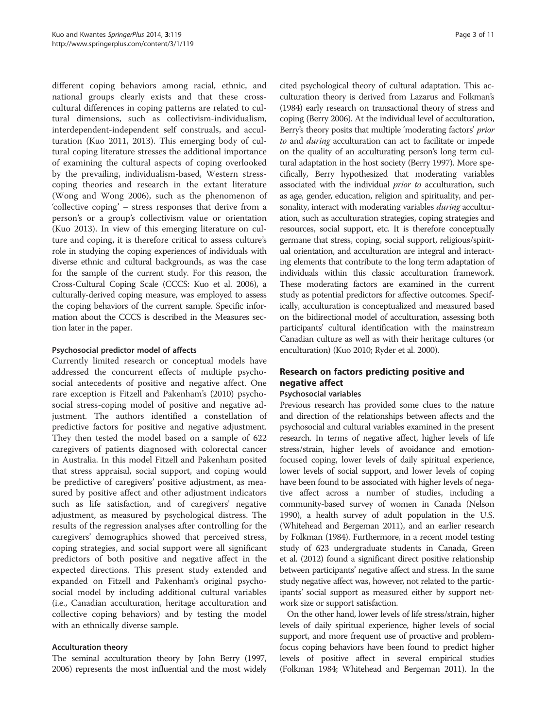different coping behaviors among racial, ethnic, and national groups clearly exists and that these crosscultural differences in coping patterns are related to cultural dimensions, such as collectivism-individualism, interdependent-independent self construals, and acculturation (Kuo [2011, 2013\)](#page-10-0). This emerging body of cultural coping literature stresses the additional importance of examining the cultural aspects of coping overlooked by the prevailing, individualism-based, Western stresscoping theories and research in the extant literature (Wong and Wong [2006](#page-11-0)), such as the phenomenon of 'collective coping' – stress responses that derive from a person's or a group's collectivism value or orientation (Kuo [2013\)](#page-10-0). In view of this emerging literature on culture and coping, it is therefore critical to assess culture's role in studying the coping experiences of individuals with diverse ethnic and cultural backgrounds, as was the case for the sample of the current study. For this reason, the Cross-Cultural Coping Scale (CCCS: Kuo et al. [2006](#page-11-0)), a culturally-derived coping measure, was employed to assess the coping behaviors of the current sample. Specific information about the CCCS is described in the [Measures](#page-5-0) section later in the paper.

### Psychosocial predictor model of affects

Currently limited research or conceptual models have addressed the concurrent effects of multiple psychosocial antecedents of positive and negative affect. One rare exception is Fitzell and Pakenham's [\(2010\)](#page-10-0) psychosocial stress-coping model of positive and negative adjustment. The authors identified a constellation of predictive factors for positive and negative adjustment. They then tested the model based on a sample of 622 caregivers of patients diagnosed with colorectal cancer in Australia. In this model Fitzell and Pakenham posited that stress appraisal, social support, and coping would be predictive of caregivers' positive adjustment, as measured by positive affect and other adjustment indicators such as life satisfaction, and of caregivers' negative adjustment, as measured by psychological distress. The results of the regression analyses after controlling for the caregivers' demographics showed that perceived stress, coping strategies, and social support were all significant predictors of both positive and negative affect in the expected directions. This present study extended and expanded on Fitzell and Pakenham's original psychosocial model by including additional cultural variables (i.e., Canadian acculturation, heritage acculturation and collective coping behaviors) and by testing the model with an ethnically diverse sample.

### Acculturation theory

The seminal acculturation theory by John Berry ([1997](#page-10-0), [2006\)](#page-10-0) represents the most influential and the most widely

cited psychological theory of cultural adaptation. This acculturation theory is derived from Lazarus and Folkman's ([1984\)](#page-11-0) early research on transactional theory of stress and coping (Berry [2006\)](#page-10-0). At the individual level of acculturation, Berry's theory posits that multiple 'moderating factors' prior to and during acculturation can act to facilitate or impede on the quality of an acculturating person's long term cultural adaptation in the host society (Berry [1997\)](#page-10-0). More specifically, Berry hypothesized that moderating variables associated with the individual prior to acculturation, such as age, gender, education, religion and spirituality, and personality, interact with moderating variables *during* acculturation, such as acculturation strategies, coping strategies and resources, social support, etc. It is therefore conceptually germane that stress, coping, social support, religious/spiritual orientation, and acculturation are integral and interacting elements that contribute to the long term adaptation of individuals within this classic acculturation framework. These moderating factors are examined in the current study as potential predictors for affective outcomes. Specifically, acculturation is conceptualized and measured based on the bidirectional model of acculturation, assessing both participants' cultural identification with the mainstream Canadian culture as well as with their heritage cultures (or enculturation) (Kuo [2010;](#page-10-0) Ryder et al. [2000](#page-11-0)).

# Research on factors predicting positive and negative affect

#### Psychosocial variables

Previous research has provided some clues to the nature and direction of the relationships between affects and the psychosocial and cultural variables examined in the present research. In terms of negative affect, higher levels of life stress/strain, higher levels of avoidance and emotionfocused coping, lower levels of daily spiritual experience, lower levels of social support, and lower levels of coping have been found to be associated with higher levels of negative affect across a number of studies, including a community-based survey of women in Canada (Nelson [1990\)](#page-11-0), a health survey of adult population in the U.S. (Whitehead and Bergeman [2011\)](#page-11-0), and an earlier research by Folkman [\(1984](#page-10-0)). Furthermore, in a recent model testing study of 623 undergraduate students in Canada, Green et al. [\(2012](#page-10-0)) found a significant direct positive relationship between participants' negative affect and stress. In the same study negative affect was, however, not related to the participants' social support as measured either by support network size or support satisfaction.

On the other hand, lower levels of life stress/strain, higher levels of daily spiritual experience, higher levels of social support, and more frequent use of proactive and problemfocus coping behaviors have been found to predict higher levels of positive affect in several empirical studies (Folkman [1984;](#page-10-0) Whitehead and Bergeman [2011](#page-11-0)). In the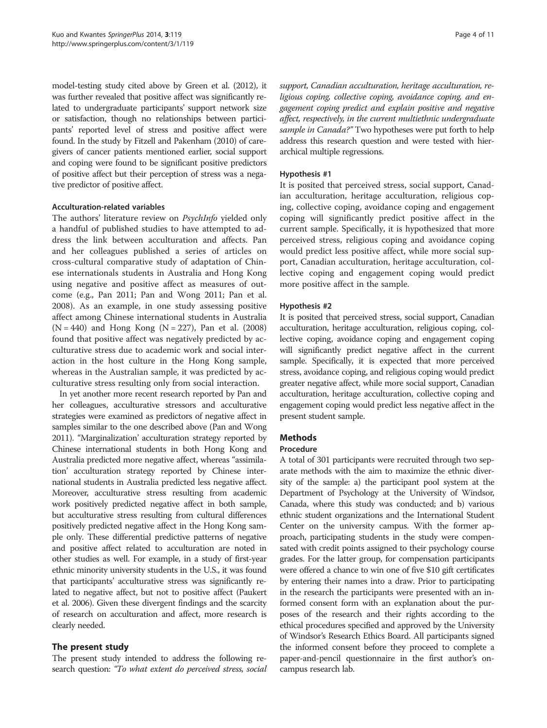model-testing study cited above by Green et al. [\(2012\)](#page-10-0), it was further revealed that positive affect was significantly related to undergraduate participants' support network size or satisfaction, though no relationships between participants' reported level of stress and positive affect were found. In the study by Fitzell and Pakenham [\(2010\)](#page-10-0) of caregivers of cancer patients mentioned earlier, social support and coping were found to be significant positive predictors of positive affect but their perception of stress was a negative predictor of positive affect.

#### Acculturation-related variables

The authors' literature review on PsychInfo yielded only a handful of published studies to have attempted to address the link between acculturation and affects. Pan and her colleagues published a series of articles on cross-cultural comparative study of adaptation of Chinese internationals students in Australia and Hong Kong using negative and positive affect as measures of outcome (e.g., Pan [2011](#page-11-0); Pan and Wong [2011](#page-11-0); Pan et al. [2008](#page-11-0)). As an example, in one study assessing positive affect among Chinese international students in Australia  $(N = 440)$  and Hong Kong  $(N = 227)$ , Pan et al.  $(2008)$  $(2008)$  $(2008)$ found that positive affect was negatively predicted by acculturative stress due to academic work and social interaction in the host culture in the Hong Kong sample, whereas in the Australian sample, it was predicted by acculturative stress resulting only from social interaction.

In yet another more recent research reported by Pan and her colleagues, acculturative stressors and acculturative strategies were examined as predictors of negative affect in samples similar to the one described above (Pan and Wong [2011\)](#page-11-0). "Marginalization' acculturation strategy reported by Chinese international students in both Hong Kong and Australia predicted more negative affect, whereas "assimilation' acculturation strategy reported by Chinese international students in Australia predicted less negative affect. Moreover, acculturative stress resulting from academic work positively predicted negative affect in both sample, but acculturative stress resulting from cultural differences positively predicted negative affect in the Hong Kong sample only. These differential predictive patterns of negative and positive affect related to acculturation are noted in other studies as well. For example, in a study of first-year ethnic minority university students in the U.S., it was found that participants' acculturative stress was significantly related to negative affect, but not to positive affect (Paukert et al. [2006](#page-11-0)). Given these divergent findings and the scarcity of research on acculturation and affect, more research is clearly needed.

# The present study

The present study intended to address the following research question: "To what extent do perceived stress, social support, Canadian acculturation, heritage acculturation, religious coping, collective coping, avoidance coping, and engagement coping predict and explain positive and negative affect, respectively, in the current multiethnic undergraduate sample in Canada?" Two hypotheses were put forth to help address this research question and were tested with hierarchical multiple regressions.

#### Hypothesis #1

It is posited that perceived stress, social support, Canadian acculturation, heritage acculturation, religious coping, collective coping, avoidance coping and engagement coping will significantly predict positive affect in the current sample. Specifically, it is hypothesized that more perceived stress, religious coping and avoidance coping would predict less positive affect, while more social support, Canadian acculturation, heritage acculturation, collective coping and engagement coping would predict more positive affect in the sample.

### Hypothesis #2

It is posited that perceived stress, social support, Canadian acculturation, heritage acculturation, religious coping, collective coping, avoidance coping and engagement coping will significantly predict negative affect in the current sample. Specifically, it is expected that more perceived stress, avoidance coping, and religious coping would predict greater negative affect, while more social support, Canadian acculturation, heritage acculturation, collective coping and engagement coping would predict less negative affect in the present student sample.

# **Methods**

### Procedure

A total of 301 participants were recruited through two separate methods with the aim to maximize the ethnic diversity of the sample: a) the participant pool system at the Department of Psychology at the University of Windsor, Canada, where this study was conducted; and b) various ethnic student organizations and the International Student Center on the university campus. With the former approach, participating students in the study were compensated with credit points assigned to their psychology course grades. For the latter group, for compensation participants were offered a chance to win one of five \$10 gift certificates by entering their names into a draw. Prior to participating in the research the participants were presented with an informed consent form with an explanation about the purposes of the research and their rights according to the ethical procedures specified and approved by the University of Windsor's Research Ethics Board. All participants signed the informed consent before they proceed to complete a paper-and-pencil questionnaire in the first author's oncampus research lab.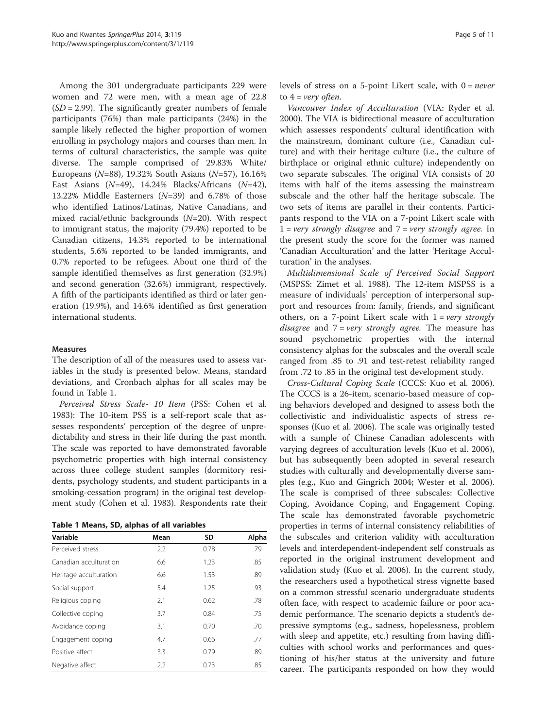<span id="page-5-0"></span>Among the 301 undergraduate participants 229 were women and 72 were men, with a mean age of 22.8  $(SD = 2.99)$ . The significantly greater numbers of female participants (76%) than male participants (24%) in the sample likely reflected the higher proportion of women enrolling in psychology majors and courses than men. In terms of cultural characteristics, the sample was quite diverse. The sample comprised of 29.83% White/ Europeans ( $N=88$ ), 19.32% South Asians ( $N=57$ ), 16.16% East Asians ( $N=49$ ), 14.24% Blacks/Africans ( $N=42$ ), 13.22% Middle Easterners (N=39) and 6.78% of those who identified Latinos/Latinas, Native Canadians, and mixed racial/ethnic backgrounds (N=20). With respect to immigrant status, the majority (79.4%) reported to be Canadian citizens, 14.3% reported to be international students, 5.6% reported to be landed immigrants, and 0.7% reported to be refugees. About one third of the sample identified themselves as first generation (32.9%) and second generation (32.6%) immigrant, respectively. A fifth of the participants identified as third or later generation (19.9%), and 14.6% identified as first generation international students.

#### Measures

The description of all of the measures used to assess variables in the study is presented below. Means, standard deviations, and Cronbach alphas for all scales may be found in Table 1.

Perceived Stress Scale- 10 Item (PSS: Cohen et al. [1983](#page-10-0)): The 10-item PSS is a self-report scale that assesses respondents' perception of the degree of unpredictability and stress in their life during the past month. The scale was reported to have demonstrated favorable psychometric properties with high internal consistency across three college student samples (dormitory residents, psychology students, and student participants in a smoking-cessation program) in the original test development study (Cohen et al. [1983](#page-10-0)). Respondents rate their

|  |  |  |  |  |  | Table 1 Means, SD, alphas of all variables |
|--|--|--|--|--|--|--------------------------------------------|
|--|--|--|--|--|--|--------------------------------------------|

| Variable               | Mean | <b>SD</b> | Alpha |
|------------------------|------|-----------|-------|
| Perceived stress       | 2.2  | 0.78      | .79   |
| Canadian acculturation | 6.6  | 1.23      | .85   |
| Heritage acculturation | 6.6  | 1.53      | .89   |
| Social support         | 5.4  | 1.25      | .93   |
| Religious coping       | 2.1  | 0.62      | .78   |
| Collective coping      | 3.7  | 0.84      | .75   |
| Avoidance coping       | 3.1  | 0.70      | .70   |
| Engagement coping      | 4.7  | 0.66      | .77   |
| Positive affect        | 3.3  | 0.79      | .89   |
| Negative affect        | 2.2  | 0.73      | .85   |

levels of stress on a 5-point Likert scale, with  $0 = never$ to  $4 = \text{very often.}$ 

Vancouver Index of Acculturation (VIA: Ryder et al. [2000](#page-11-0)). The VIA is bidirectional measure of acculturation which assesses respondents' cultural identification with the mainstream, dominant culture (i.e., Canadian culture) and with their heritage culture (i.e., the culture of birthplace or original ethnic culture) independently on two separate subscales. The original VIA consists of 20 items with half of the items assessing the mainstream subscale and the other half the heritage subscale. The two sets of items are parallel in their contents. Participants respond to the VIA on a 7-point Likert scale with  $1 = very \ strongly \ disagree \ and \ 7 = very \ strongly \ agree.$  In the present study the score for the former was named 'Canadian Acculturation' and the latter 'Heritage Acculturation' in the analyses.

Multidimensional Scale of Perceived Social Support (MSPSS: Zimet et al. [1988](#page-11-0)). The 12-item MSPSS is a measure of individuals' perception of interpersonal support and resources from: family, friends, and significant others, on a 7-point Likert scale with  $1 = very \ strongly$ *disagree* and  $7 = very \, strongly \, agree.$  The measure has sound psychometric properties with the internal consistency alphas for the subscales and the overall scale ranged from .85 to .91 and test-retest reliability ranged from .72 to .85 in the original test development study.

Cross-Cultural Coping Scale (CCCS: Kuo et al. [2006](#page-11-0)). The CCCS is a 26-item, scenario-based measure of coping behaviors developed and designed to assess both the collectivistic and individualistic aspects of stress responses (Kuo et al. [2006\)](#page-11-0). The scale was originally tested with a sample of Chinese Canadian adolescents with varying degrees of acculturation levels (Kuo et al. [2006](#page-11-0)), but has subsequently been adopted in several research studies with culturally and developmentally diverse samples (e.g., Kuo and Gingrich [2004](#page-10-0); Wester et al. [2006](#page-11-0)). The scale is comprised of three subscales: Collective Coping, Avoidance Coping, and Engagement Coping. The scale has demonstrated favorable psychometric properties in terms of internal consistency reliabilities of the subscales and criterion validity with acculturation levels and interdependent-independent self construals as reported in the original instrument development and validation study (Kuo et al. [2006](#page-11-0)). In the current study, the researchers used a hypothetical stress vignette based on a common stressful scenario undergraduate students often face, with respect to academic failure or poor academic performance. The scenario depicts a student's depressive symptoms (e.g., sadness, hopelessness, problem with sleep and appetite, etc.) resulting from having difficulties with school works and performances and questioning of his/her status at the university and future career. The participants responded on how they would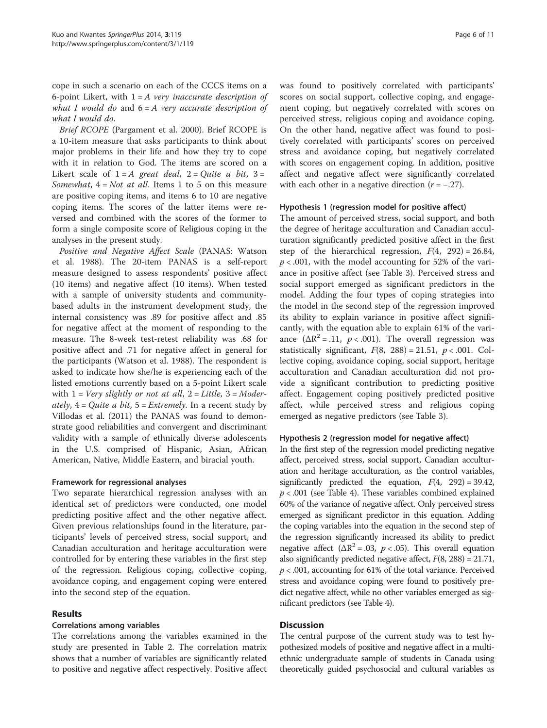cope in such a scenario on each of the CCCS items on a 6-point Likert, with  $1 = A$  very inaccurate description of what I would do and  $6 = A$  very accurate description of what I would do.

Brief RCOPE (Pargament et al. [2000\)](#page-11-0). Brief RCOPE is a 10-item measure that asks participants to think about major problems in their life and how they try to cope with it in relation to God. The items are scored on a Likert scale of  $1 = A$  great deal,  $2 = Q$ uite a bit,  $3 =$ Somewhat,  $4 = Not$  at all. Items 1 to 5 on this measure are positive coping items, and items 6 to 10 are negative coping items. The scores of the latter items were reversed and combined with the scores of the former to form a single composite score of Religious coping in the analyses in the present study.

Positive and Negative Affect Scale (PANAS: Watson et al. [1988\)](#page-11-0). The 20-item PANAS is a self-report measure designed to assess respondents' positive affect (10 items) and negative affect (10 items). When tested with a sample of university students and communitybased adults in the instrument development study, the internal consistency was .89 for positive affect and .85 for negative affect at the moment of responding to the measure. The 8-week test-retest reliability was .68 for positive affect and .71 for negative affect in general for the participants (Watson et al. [1988](#page-11-0)). The respondent is asked to indicate how she/he is experiencing each of the listed emotions currently based on a 5-point Likert scale with  $1 = Very$  slightly or not at all,  $2 = Little$ ,  $3 = Modern$ ately,  $4 = Quite$  a bit,  $5 = Extremely$ . In a recent study by Villodas et al. [\(2011\)](#page-11-0) the PANAS was found to demonstrate good reliabilities and convergent and discriminant validity with a sample of ethnically diverse adolescents in the U.S. comprised of Hispanic, Asian, African American, Native, Middle Eastern, and biracial youth.

### Framework for regressional analyses

Two separate hierarchical regression analyses with an identical set of predictors were conducted, one model predicting positive affect and the other negative affect. Given previous relationships found in the literature, participants' levels of perceived stress, social support, and Canadian acculturation and heritage acculturation were controlled for by entering these variables in the first step of the regression. Religious coping, collective coping, avoidance coping, and engagement coping were entered into the second step of the equation.

### Results

### Correlations among variables

The correlations among the variables examined in the study are presented in Table [2.](#page-7-0) The correlation matrix shows that a number of variables are significantly related to positive and negative affect respectively. Positive affect

was found to positively correlated with participants' scores on social support, collective coping, and engagement coping, but negatively correlated with scores on perceived stress, religious coping and avoidance coping. On the other hand, negative affect was found to positively correlated with participants' scores on perceived stress and avoidance coping, but negatively correlated with scores on engagement coping. In addition, positive affect and negative affect were significantly correlated with each other in a negative direction  $(r = -.27)$ .

#### Hypothesis 1 (regression model for positive affect)

The amount of perceived stress, social support, and both the degree of heritage acculturation and Canadian acculturation significantly predicted positive affect in the first step of the hierarchical regression,  $F(4, 292) = 26.84$ ,  $p < .001$ , with the model accounting for 52% of the variance in positive affect (see Table [3\)](#page-7-0). Perceived stress and social support emerged as significant predictors in the model. Adding the four types of coping strategies into the model in the second step of the regression improved its ability to explain variance in positive affect significantly, with the equation able to explain 61% of the variance  $(\Delta R^2 = .11, p < .001)$ . The overall regression was statistically significant,  $F(8, 288) = 21.51$ ,  $p < .001$ . Collective coping, avoidance coping, social support, heritage acculturation and Canadian acculturation did not provide a significant contribution to predicting positive affect. Engagement coping positively predicted positive affect, while perceived stress and religious coping emerged as negative predictors (see Table [3\)](#page-7-0).

### Hypothesis 2 (regression model for negative affect)

In the first step of the regression model predicting negative affect, perceived stress, social support, Canadian acculturation and heritage acculturation, as the control variables, significantly predicted the equation,  $F(4, 292) = 39.42$ ,  $p < .001$  (see Table [4\)](#page-8-0). These variables combined explained 60% of the variance of negative affect. Only perceived stress emerged as significant predictor in this equation. Adding the coping variables into the equation in the second step of the regression significantly increased its ability to predict negative affect ( $\Delta R^2$  = .03,  $p < .05$ ). This overall equation also significantly predicted negative affect,  $F(8, 288) = 21.71$ ,  $p < .001$ , accounting for 61% of the total variance. Perceived stress and avoidance coping were found to positively predict negative affect, while no other variables emerged as significant predictors (see Table [4](#page-8-0)).

### **Discussion**

The central purpose of the current study was to test hypothesized models of positive and negative affect in a multiethnic undergraduate sample of students in Canada using theoretically guided psychosocial and cultural variables as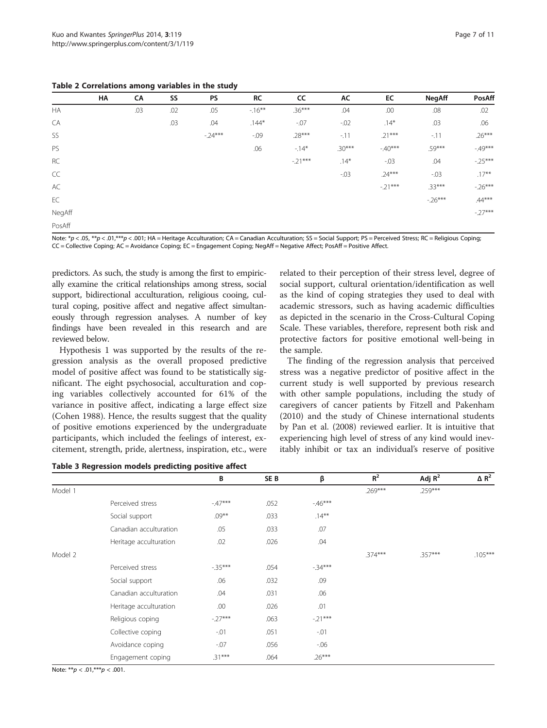<span id="page-7-0"></span>Table 2 Correlations among variables in the study

|           | ΗA | CA  | SS  | PS       | RC       | CC       | AC       | EC        | NegAff   | PosAff   |
|-----------|----|-----|-----|----------|----------|----------|----------|-----------|----------|----------|
| <b>HA</b> |    | .03 | .02 | .05      | $-16***$ | $.36***$ | .04      | .00       | .08      | .02      |
| CA        |    |     | .03 | .04      | $.144*$  | $-.07$   | $-0.02$  | $.14*$    | .03      | .06      |
| SS        |    |     |     | $-24***$ | $-0.09$  | $.28***$ | $-111$   | $.21***$  | $-11$    | $.26***$ |
| PS        |    |     |     |          | .06      | $-14*$   | $.30***$ | $-.40***$ | $.59***$ | $-49***$ |
| <b>RC</b> |    |     |     |          |          | $-21***$ | $.14*$   | $-0.03$   | .04      | $-25***$ |
| CC        |    |     |     |          |          |          | $-0.03$  | $.24***$  | $-0.03$  | $.17***$ |
| AC        |    |     |     |          |          |          |          | $-21***$  | $.33***$ | $-26***$ |
| EC        |    |     |     |          |          |          |          |           | $-26***$ | $.44***$ |
| NegAff    |    |     |     |          |          |          |          |           |          | $-27***$ |
| PosAff    |    |     |     |          |          |          |          |           |          |          |

Note: \*p < .05, \*\*p < .01,\*\*\*p < .001; HA = Heritage Acculturation; CA = Canadian Acculturation; SS = Social Support; PS = Perceived Stress; RC = Religious Coping; CC = Collective Coping; AC = Avoidance Coping; EC = Engagement Coping; NegAff = Negative Affect; PosAff = Positive Affect.

predictors. As such, the study is among the first to empirically examine the critical relationships among stress, social support, bidirectional acculturation, religious cooing, cultural coping, positive affect and negative affect simultaneously through regression analyses. A number of key findings have been revealed in this research and are reviewed below.

Hypothesis 1 was supported by the results of the regression analysis as the overall proposed predictive model of positive affect was found to be statistically significant. The eight psychosocial, acculturation and coping variables collectively accounted for 61% of the variance in positive affect, indicating a large effect size (Cohen [1988](#page-10-0)). Hence, the results suggest that the quality of positive emotions experienced by the undergraduate participants, which included the feelings of interest, excitement, strength, pride, alertness, inspiration, etc., were

related to their perception of their stress level, degree of social support, cultural orientation/identification as well as the kind of coping strategies they used to deal with academic stressors, such as having academic difficulties as depicted in the scenario in the Cross-Cultural Coping Scale. These variables, therefore, represent both risk and protective factors for positive emotional well-being in the sample.

The finding of the regression analysis that perceived stress was a negative predictor of positive affect in the current study is well supported by previous research with other sample populations, including the study of caregivers of cancer patients by Fitzell and Pakenham ([2010\)](#page-10-0) and the study of Chinese international students by Pan et al. [\(2008](#page-11-0)) reviewed earlier. It is intuitive that experiencing high level of stress of any kind would inevitably inhibit or tax an individual's reserve of positive

| Table 3 Regression models predicting positive affect |  |  |  |  |
|------------------------------------------------------|--|--|--|--|
|------------------------------------------------------|--|--|--|--|

|         |                        | B        | SE <sub>B</sub> | β        | $R^2$     | Adj $R^2$ | $\triangle R^2$ |
|---------|------------------------|----------|-----------------|----------|-----------|-----------|-----------------|
| Model 1 |                        |          |                 |          | .269***   | .259***   |                 |
|         | Perceived stress       | $-47***$ | .052            | $-46***$ |           |           |                 |
|         | Social support         | $.09***$ | .033            | $.14***$ |           |           |                 |
|         | Canadian acculturation | .05      | .033            | .07      |           |           |                 |
|         | Heritage acculturation | .02      | .026            | .04      |           |           |                 |
| Model 2 |                        |          |                 |          | $.374***$ | $.357***$ | $.105***$       |
|         | Perceived stress       | $-35***$ | .054            | $-34***$ |           |           |                 |
|         | Social support         | .06      | .032            | .09      |           |           |                 |
|         | Canadian acculturation | .04      | .031            | .06      |           |           |                 |
|         | Heritage acculturation | .00      | .026            | .01      |           |           |                 |
|         | Religious coping       | $-27***$ | .063            | $-21***$ |           |           |                 |
|         | Collective coping      | $-.01$   | .051            | $-.01$   |           |           |                 |
|         | Avoidance coping       | $-0.07$  | .056            | $-06$    |           |           |                 |
|         | Engagement coping      | $.31***$ | .064            | $.26***$ |           |           |                 |

Note: \*\* $p < .01,$ \*\*\* $p < .001$ .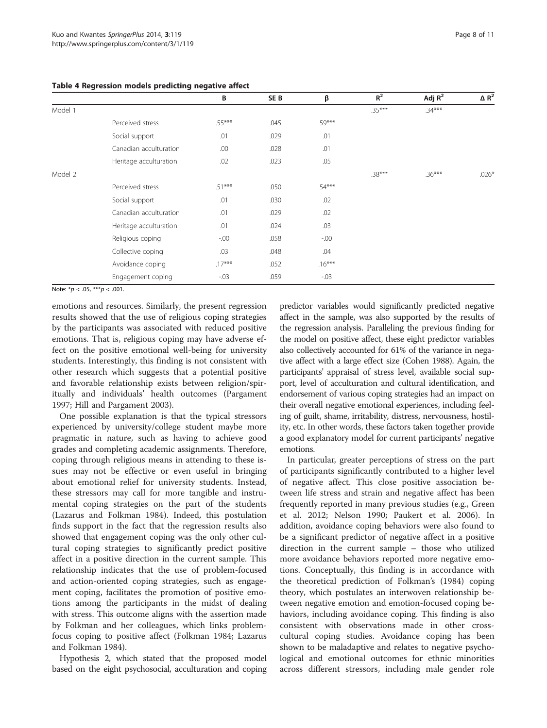|         |                        | В        | SE <sub>B</sub> | β        | $R^2$    | Adj $R^2$ | $\Delta$ $\rm R^2$ |
|---------|------------------------|----------|-----------------|----------|----------|-----------|--------------------|
| Model 1 |                        |          |                 |          | $.35***$ | $.34***$  |                    |
|         | Perceived stress       | $.55***$ | .045            | $.59***$ |          |           |                    |
|         | Social support         | .01      | .029            | .01      |          |           |                    |
|         | Canadian acculturation | .00      | .028            | .01      |          |           |                    |
|         | Heritage acculturation | .02      | .023            | .05      |          |           |                    |
| Model 2 |                        |          |                 |          | $.38***$ | $.36***$  | $.026*$            |
|         | Perceived stress       | $.51***$ | .050            | $.54***$ |          |           |                    |
|         | Social support         | .01      | .030            | .02      |          |           |                    |
|         | Canadian acculturation | .01      | .029            | .02      |          |           |                    |
|         | Heritage acculturation | .01      | .024            | .03      |          |           |                    |
|         | Religious coping       | $-00 -$  | .058            | $-0.00$  |          |           |                    |
|         | Collective coping      | .03      | .048            | .04      |          |           |                    |
|         | Avoidance coping       | $.17***$ | .052            | $.16***$ |          |           |                    |
|         | Engagement coping      | $-0.03$  | .059            | $-0.03$  |          |           |                    |

#### <span id="page-8-0"></span>Table 4 Regression models predicting negative affect

Note:  $* p < .05, ** p < .001.$ 

emotions and resources. Similarly, the present regression results showed that the use of religious coping strategies by the participants was associated with reduced positive emotions. That is, religious coping may have adverse effect on the positive emotional well-being for university students. Interestingly, this finding is not consistent with other research which suggests that a potential positive and favorable relationship exists between religion/spiritually and individuals' health outcomes (Pargament [1997](#page-11-0); Hill and Pargament [2003](#page-10-0)).

One possible explanation is that the typical stressors experienced by university/college student maybe more pragmatic in nature, such as having to achieve good grades and completing academic assignments. Therefore, coping through religious means in attending to these issues may not be effective or even useful in bringing about emotional relief for university students. Instead, these stressors may call for more tangible and instrumental coping strategies on the part of the students (Lazarus and Folkman [1984](#page-11-0)). Indeed, this postulation finds support in the fact that the regression results also showed that engagement coping was the only other cultural coping strategies to significantly predict positive affect in a positive direction in the current sample. This relationship indicates that the use of problem-focused and action-oriented coping strategies, such as engagement coping, facilitates the promotion of positive emotions among the participants in the midst of dealing with stress. This outcome aligns with the assertion made by Folkman and her colleagues, which links problemfocus coping to positive affect (Folkman [1984](#page-10-0); Lazarus and Folkman [1984\)](#page-11-0).

Hypothesis 2, which stated that the proposed model based on the eight psychosocial, acculturation and coping

predictor variables would significantly predicted negative affect in the sample, was also supported by the results of the regression analysis. Paralleling the previous finding for the model on positive affect, these eight predictor variables also collectively accounted for 61% of the variance in negative affect with a large effect size (Cohen [1988](#page-10-0)). Again, the participants' appraisal of stress level, available social support, level of acculturation and cultural identification, and endorsement of various coping strategies had an impact on their overall negative emotional experiences, including feeling of guilt, shame, irritability, distress, nervousness, hostility, etc. In other words, these factors taken together provide a good explanatory model for current participants' negative emotions.

In particular, greater perceptions of stress on the part of participants significantly contributed to a higher level of negative affect. This close positive association between life stress and strain and negative affect has been frequently reported in many previous studies (e.g., Green et al. [2012](#page-10-0); Nelson [1990;](#page-11-0) Paukert et al. [2006\)](#page-11-0). In addition, avoidance coping behaviors were also found to be a significant predictor of negative affect in a positive direction in the current sample – those who utilized more avoidance behaviors reported more negative emotions. Conceptually, this finding is in accordance with the theoretical prediction of Folkman's ([1984](#page-10-0)) coping theory, which postulates an interwoven relationship between negative emotion and emotion-focused coping behaviors, including avoidance coping. This finding is also consistent with observations made in other crosscultural coping studies. Avoidance coping has been shown to be maladaptive and relates to negative psychological and emotional outcomes for ethnic minorities across different stressors, including male gender role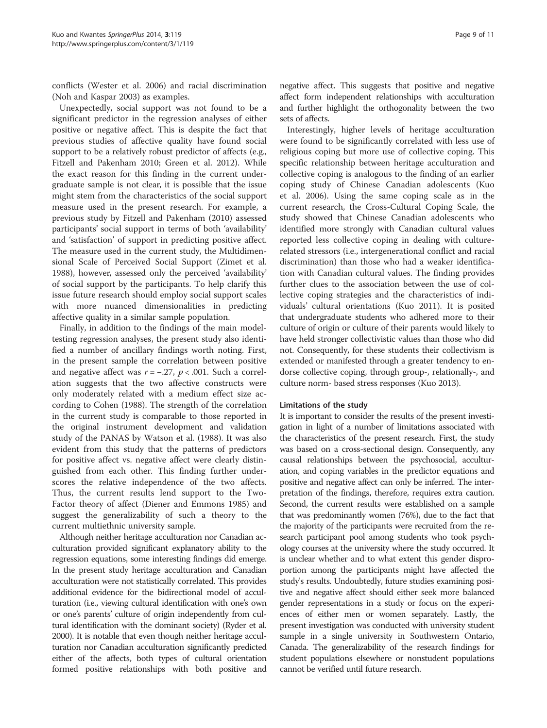conflicts (Wester et al. [2006\)](#page-11-0) and racial discrimination (Noh and Kaspar [2003](#page-11-0)) as examples.

Unexpectedly, social support was not found to be a significant predictor in the regression analyses of either positive or negative affect. This is despite the fact that previous studies of affective quality have found social support to be a relatively robust predictor of affects (e.g., Fitzell and Pakenham [2010;](#page-10-0) Green et al. [2012\)](#page-10-0). While the exact reason for this finding in the current undergraduate sample is not clear, it is possible that the issue might stem from the characteristics of the social support measure used in the present research. For example, a previous study by Fitzell and Pakenham [\(2010\)](#page-10-0) assessed participants' social support in terms of both 'availability' and 'satisfaction' of support in predicting positive affect. The measure used in the current study, the Multidimensional Scale of Perceived Social Support (Zimet et al. [1988](#page-11-0)), however, assessed only the perceived 'availability' of social support by the participants. To help clarify this issue future research should employ social support scales with more nuanced dimensionalities in predicting affective quality in a similar sample population.

Finally, in addition to the findings of the main modeltesting regression analyses, the present study also identified a number of ancillary findings worth noting. First, in the present sample the correlation between positive and negative affect was  $r = -.27$ ,  $p < .001$ . Such a correlation suggests that the two affective constructs were only moderately related with a medium effect size according to Cohen [\(1988\)](#page-10-0). The strength of the correlation in the current study is comparable to those reported in the original instrument development and validation study of the PANAS by Watson et al. [\(1988\)](#page-11-0). It was also evident from this study that the patterns of predictors for positive affect vs. negative affect were clearly distinguished from each other. This finding further underscores the relative independence of the two affects. Thus, the current results lend support to the Two-Factor theory of affect (Diener and Emmons [1985](#page-10-0)) and suggest the generalizability of such a theory to the current multiethnic university sample.

Although neither heritage acculturation nor Canadian acculturation provided significant explanatory ability to the regression equations, some interesting findings did emerge. In the present study heritage acculturation and Canadian acculturation were not statistically correlated. This provides additional evidence for the bidirectional model of acculturation (i.e., viewing cultural identification with one's own or one's parents' culture of origin independently from cultural identification with the dominant society) (Ryder et al. [2000\)](#page-11-0). It is notable that even though neither heritage acculturation nor Canadian acculturation significantly predicted either of the affects, both types of cultural orientation formed positive relationships with both positive and

negative affect. This suggests that positive and negative affect form independent relationships with acculturation and further highlight the orthogonality between the two sets of affects.

Interestingly, higher levels of heritage acculturation were found to be significantly correlated with less use of religious coping but more use of collective coping. This specific relationship between heritage acculturation and collective coping is analogous to the finding of an earlier coping study of Chinese Canadian adolescents (Kuo et al. [2006\)](#page-11-0). Using the same coping scale as in the current research, the Cross-Cultural Coping Scale, the study showed that Chinese Canadian adolescents who identified more strongly with Canadian cultural values reported less collective coping in dealing with culturerelated stressors (i.e., intergenerational conflict and racial discrimination) than those who had a weaker identification with Canadian cultural values. The finding provides further clues to the association between the use of collective coping strategies and the characteristics of individuals' cultural orientations (Kuo [2011](#page-10-0)). It is posited that undergraduate students who adhered more to their culture of origin or culture of their parents would likely to have held stronger collectivistic values than those who did not. Consequently, for these students their collectivism is extended or manifested through a greater tendency to endorse collective coping, through group-, relationally-, and culture norm- based stress responses (Kuo [2013\)](#page-10-0).

#### Limitations of the study

It is important to consider the results of the present investigation in light of a number of limitations associated with the characteristics of the present research. First, the study was based on a cross-sectional design. Consequently, any causal relationships between the psychosocial, acculturation, and coping variables in the predictor equations and positive and negative affect can only be inferred. The interpretation of the findings, therefore, requires extra caution. Second, the current results were established on a sample that was predominantly women (76%), due to the fact that the majority of the participants were recruited from the research participant pool among students who took psychology courses at the university where the study occurred. It is unclear whether and to what extent this gender disproportion among the participants might have affected the study's results. Undoubtedly, future studies examining positive and negative affect should either seek more balanced gender representations in a study or focus on the experiences of either men or women separately. Lastly, the present investigation was conducted with university student sample in a single university in Southwestern Ontario, Canada. The generalizability of the research findings for student populations elsewhere or nonstudent populations cannot be verified until future research.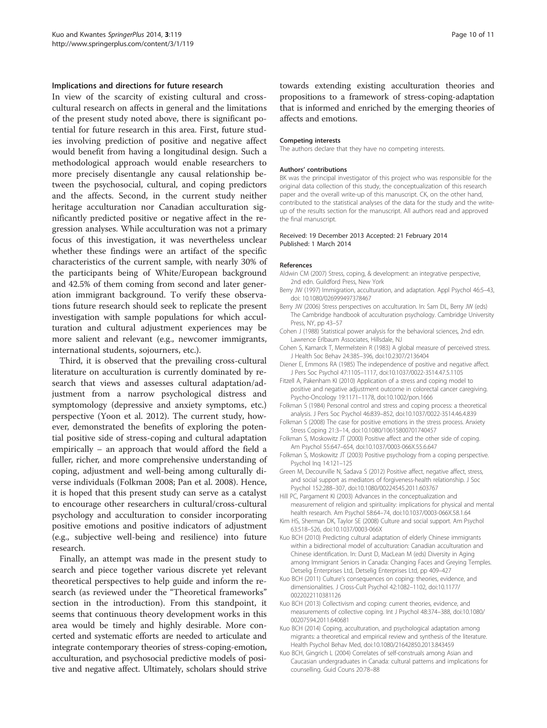#### <span id="page-10-0"></span>Implications and directions for future research

In view of the scarcity of existing cultural and crosscultural research on affects in general and the limitations of the present study noted above, there is significant potential for future research in this area. First, future studies involving prediction of positive and negative affect would benefit from having a longitudinal design. Such a methodological approach would enable researchers to more precisely disentangle any causal relationship between the psychosocial, cultural, and coping predictors and the affects. Second, in the current study neither heritage acculturation nor Canadian acculturation significantly predicted positive or negative affect in the regression analyses. While acculturation was not a primary focus of this investigation, it was nevertheless unclear whether these findings were an artifact of the specific characteristics of the current sample, with nearly 30% of the participants being of White/European background and 42.5% of them coming from second and later generation immigrant background. To verify these observations future research should seek to replicate the present investigation with sample populations for which acculturation and cultural adjustment experiences may be more salient and relevant (e.g., newcomer immigrants, international students, sojourners, etc.).

Third, it is observed that the prevailing cross-cultural literature on acculturation is currently dominated by research that views and assesses cultural adaptation/adjustment from a narrow psychological distress and symptomology (depressive and anxiety symptoms, etc.) perspective (Yoon et al. [2012\)](#page-11-0). The current study, however, demonstrated the benefits of exploring the potential positive side of stress-coping and cultural adaptation empirically – an approach that would afford the field a fuller, richer, and more comprehensive understanding of coping, adjustment and well-being among culturally diverse individuals (Folkman 2008; Pan et al. [2008](#page-11-0)). Hence, it is hoped that this present study can serve as a catalyst to encourage other researchers in cultural/cross-cultural psychology and acculturation to consider incorporating positive emotions and positive indicators of adjustment (e.g., subjective well-being and resilience) into future research.

Finally, an attempt was made in the present study to search and piece together various discrete yet relevant theoretical perspectives to help guide and inform the research (as reviewed under the "[Theoretical frameworks](#page-2-0)" section in the introduction). From this standpoint, it seems that continuous theory development works in this area would be timely and highly desirable. More concerted and systematic efforts are needed to articulate and integrate contemporary theories of stress-coping-emotion, acculturation, and psychosocial predictive models of positive and negative affect. Ultimately, scholars should strive towards extending existing acculturation theories and propositions to a framework of stress-coping-adaptation that is informed and enriched by the emerging theories of affects and emotions.

#### Competing interests

The authors declare that they have no competing interests.

#### Authors' contributions

BK was the principal investigator of this project who was responsible for the original data collection of this study, the conceptualization of this research paper and the overall write-up of this manuscript. CK, on the other hand, contributed to the statistical analyses of the data for the study and the writeup of the results section for the manuscript. All authors read and approved the final manuscript.

#### Received: 19 December 2013 Accepted: 21 February 2014 Published: 1 March 2014

#### References

- Aldwin CM (2007) Stress, coping, & development: an integrative perspective, 2nd edn. Guildford Press, New York
- Berry JW (1997) Immigration, acculturation, and adaptation. Appl Psychol 46:5–43, doi: 10.1080/026999497378467
- Berry JW (2006) Stress perspectives on acculturation. In: Sam DL, Berry JW (eds) The Cambridge handbook of acculturation psychology. Cambridge University Press, NY, pp 43–57
- Cohen J (1988) Statistical power analysis for the behavioral sciences, 2nd edn. Lawrence Erlbaum Associates, Hillsdale, NJ
- Cohen S, Kamarck T, Mermelstein R (1983) A global measure of perceived stress. J Health Soc Behav 24:385–396, doi:10.2307/2136404
- Diener E, Emmons RA (1985) The independence of positive and negative affect. J Pers Soc Psychol 47:1105–1117, doi:10.1037/0022-3514.47.5.1105
- Fitzell A, Pakenham KI (2010) Application of a stress and coping model to positive and negative adjustment outcome in colorectal cancer caregiving. Psycho-Oncology 19:1171–1178, doi:10.1002/pon.1666
- Folkman S (1984) Personal control and stress and coping process: a theoretical analysis. J Pers Soc Psychol 46:839–852, doi:10.1037/0022-3514.46.4.839
- Folkman S (2008) The case for positive emotions in the stress process. Anxiety Stress Coping 21:3–14, doi:10.1080/10615800701740457
- Folkman S, Moskowitz JT (2000) Positive affect and the other side of coping. Am Psychol 55:647–654, doi:10.1037/0003-066X.55.6.647
- Folkman S, Moskowitz JT (2003) Positive psychology from a coping perspective. Psychol Inq 14:121–125
- Green M, Decourville N, Sadava S (2012) Positive affect, negative affect, stress, and social support as mediators of forgiveness-health relationship. J Soc Psychol 152:288–307, doi:10.1080/00224545.2011.603767
- Hill PC, Pargament KI (2003) Advances in the conceptualization and measurement of religion and spirituality: implications for physical and mental health research. Am Psychol 58:64–74, doi:10.1037/0003-066X.58.1.64
- Kim HS, Sherman DK, Taylor SE (2008) Culture and social support. Am Psychol 63:518–526, doi:10.1037/0003-066X
- Kuo BCH (2010) Predicting cultural adaptation of elderly Chinese immigrants within a bidirectional model of acculturation: Canadian acculturation and Chinese identification. In: Durst D, MacLean M (eds) Diversity in Aging among Immigrant Seniors in Canada: Changing Faces and Greying Temples. Detselig Enterprises Ltd, Detselig Enterprises Ltd, pp 409–427
- Kuo BCH (2011) Culture's consequences on coping: theories, evidence, and dimensionalities. J Cross-Cult Psychol 42:1082–1102, doi:10.1177/ 0022022110381126
- Kuo BCH (2013) Collectivism and coping: current theories, evidence, and measurements of collective coping. Int J Psychol 48:374–388, doi:10.1080/ 00207594.2011.640681
- Kuo BCH (2014) Coping, acculturation, and psychological adaptation among migrants: a theoretical and empirical review and synthesis of the literature. Health Psychol Behav Med, doi:10.1080/21642850.2013.843459
- Kuo BCH, Gingrich L (2004) Correlates of self-construals among Asian and Caucasian undergraduates in Canada: cultural patterns and implications for counselling. Guid Couns 20:78–88